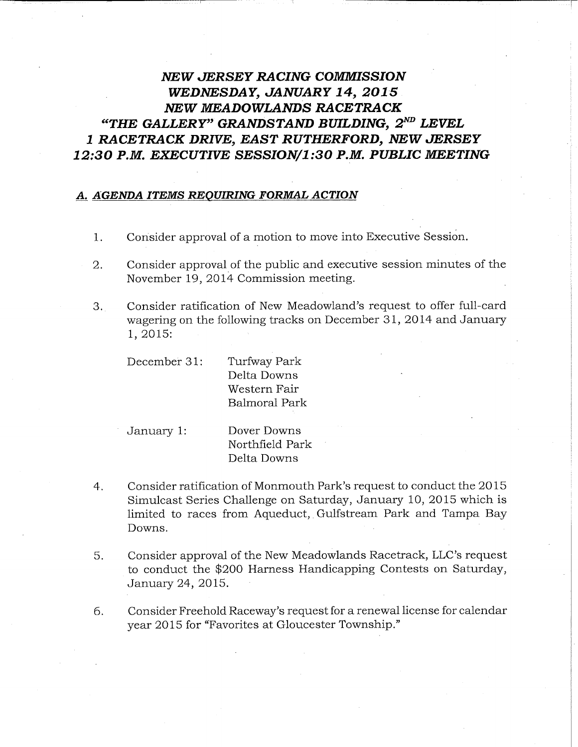## NEW JERSEY RACING COMMISSION WEDNESDAY, JANUARY 14, 2015 NEW MEADOWLANDS RACETRACK "THE GALLERY" GRANDSTAND BUILDING,  $2^{ND}$  LEVEL 1 RACETRACK DRIVE, EAST RUTHERFORD, NEW JERSEY

## 12:30 P.M. EXECUTIVE SESSION/1:30 P.M. PUBLIC MEETING

## A. AGENDA ITEMS REQUIRING FORMAL ACTION

- 1. Consider approval of a motion to move into Executive Session.
- 2. Consider approval of the public and executive session minutes of the November 19, 2014 Commission meeting.
- 3. Consider ratification of New Meadowland's request to offer full-card wagering on the following tracks on December 31, 2014 and January 1, 2015:

December 31: Turfway Park Delta Downs Western Fair Balmoral Park

January l: Dover Downs Northfield Park Delta Downs

- 4. Consider ratification of Monmouth Park's request to conduct the 2015 Simulcast Series Challenge on Saturday, January 10, 2015 which is limited to races from Aqueduct, Gulfstream Park and Tampa Bay Downs.
- 5. Consider approval of the New Meadowlands Racetrack, LLC's request to conduct the \$200 Harness Handicapping Contests on Saturday, January 24, 2015.
- 6. Consider Freehold Raceway's request for a renewal license for calendar year 2015 for "Favorites at Gloucester Township."